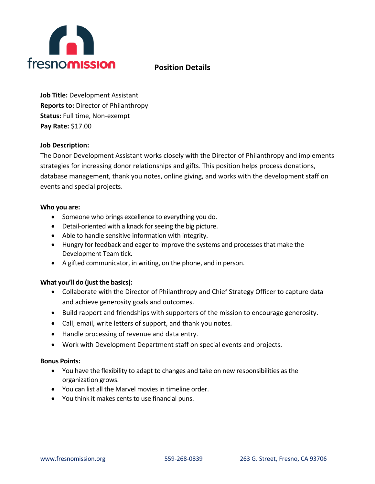

# **Position Details**

**Job Title:** Development Assistant **Reports to:** Director of Philanthropy **Status:** Full time, Non-exempt **Pay Rate:** \$17.00

### **Job Description:**

The Donor Development Assistant works closely with the Director of Philanthropy and implements strategies for increasing donor relationships and gifts. This position helps process donations, database management, thank you notes, online giving, and works with the development staff on events and special projects.

### **Who you are:**

- Someone who brings excellence to everything you do.
- Detail-oriented with a knack for seeing the big picture.
- Able to handle sensitive information with integrity.
- Hungry for feedback and eager to improve the systems and processes that make the Development Team tick.
- A gifted communicator, in writing, on the phone, and in person.

# **What you'll do (just the basics):**

- Collaborate with the Director of Philanthropy and Chief Strategy Officer to capture data and achieve generosity goals and outcomes.
- Build rapport and friendships with supporters of the mission to encourage generosity.
- Call, email, write letters of support, and thank you notes*.*
- Handle processing of revenue and data entry.
- Work with Development Department staff on special events and projects.

# **Bonus Points:**

- You have the flexibility to adapt to changes and take on new responsibilities as the organization grows.
- You can list all the Marvel movies in timeline order.
- You think it makes cents to use financial puns.